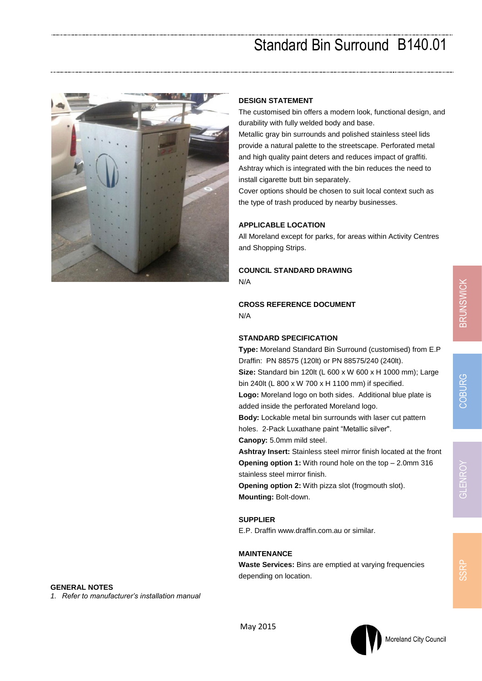# Standard Bin Surround B140.01



#### **DESIGN STATEMENT**

The customised bin offers a modern look, functional design, and durability with fully welded body and base.

Metallic gray bin surrounds and polished stainless steel lids provide a natural palette to the streetscape. Perforated metal and high quality paint deters and reduces impact of graffiti. Ashtray which is integrated with the bin reduces the need to install cigarette butt bin separately.

Cover options should be chosen to suit local context such as the type of trash produced by nearby businesses.

#### **APPLICABLE LOCATION**

All Moreland except for parks, for areas within Activity Centres and Shopping Strips.

# **COUNCIL STANDARD DRAWING**

N/A

#### **CROSS REFERENCE DOCUMENT** N/A

### **STANDARD SPECIFICATION**

**Type:** Moreland Standard Bin Surround (customised) from E.P Draffin: PN 88575 (120lt) or PN 88575/240 (240lt).

**Size:** Standard bin 120lt (L 600 x W 600 x H 1000 mm); Large bin 240lt (L 800 x W 700 x H 1100 mm) if specified.

**Logo:** Moreland logo on both sides. Additional blue plate is added inside the perforated Moreland logo.

**Body:** Lockable metal bin surrounds with laser cut pattern holes. 2-Pack Luxathane paint "Metallic silver".

**Canopy:** 5.0mm mild steel.

**Ashtray Insert:** Stainless steel mirror finish located at the front **Opening option 1:** With round hole on the top – 2.0mm 316 stainless steel mirror finish.

**Opening option 2:** With pizza slot (frogmouth slot). **Mounting:** Bolt-down.

## **SUPPLIER**

E.P. Draffin www.draffin.com.au or similar.

### **MAINTENANCE**

**Waste Services:** Bins are emptied at varying frequencies depending on location.

**GENERAL NOTES**

*1. Refer to manufacturer's installation manual*



May 2015